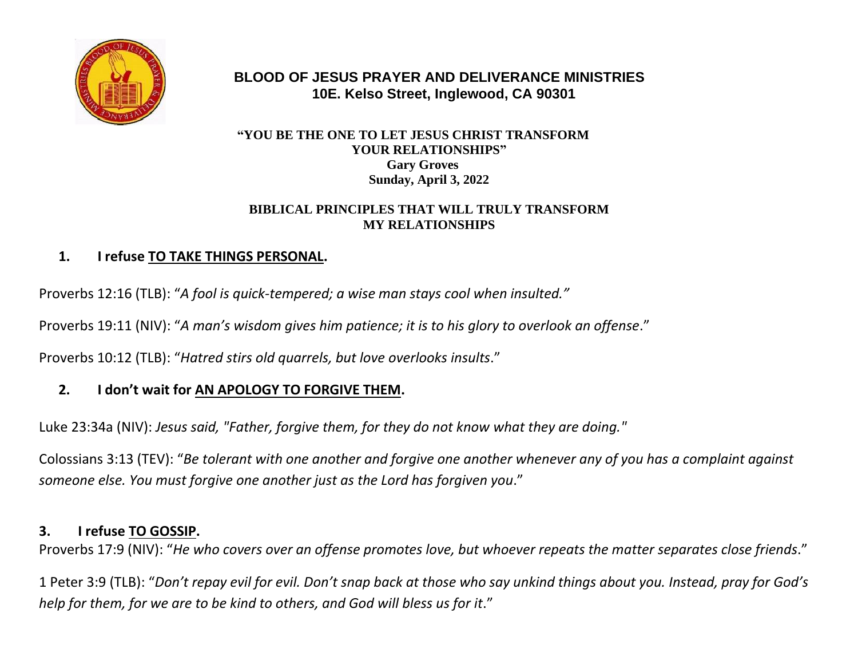

### **BLOOD OF JESUS PRAYER AND DELIVERANCE MINISTRIES 10E. Kelso Street, Inglewood, CA 90301**

#### **"YOU BE THE ONE TO LET JESUS CHRIST TRANSFORM YOUR RELATIONSHIPS" Gary Groves Sunday, April 3, 2022**

#### **BIBLICAL PRINCIPLES THAT WILL TRULY TRANSFORM MY RELATIONSHIPS**

## **1. I refuse TO TAKE THINGS PERSONAL.**

Proverbs 12:16 (TLB): "*A fool is quick-tempered; a wise man stays cool when insulted."*

Proverbs 19:11 (NIV): "*A man's wisdom gives him patience; it is to his glory to overlook an offense*."

Proverbs 10:12 (TLB): "*Hatred stirs old quarrels, but love overlooks insults*."

## **2. I don't wait for AN APOLOGY TO FORGIVE THEM.**

Luke 23:34a (NIV): *Jesus said, "Father, forgive them, for they do not know what they are doing."*

Colossians 3:13 (TEV): "*Be tolerant with one another and forgive one another whenever any of you has a complaint against someone else. You must forgive one another just as the Lord has forgiven you*."

#### **3. I refuse TO GOSSIP.**

Proverbs 17:9 (NIV): "*He who covers over an offense promotes love, but whoever repeats the matter separates close friends*."

1 Peter 3:9 (TLB): "*Don't repay evil for evil. Don't snap back at those who say unkind things about you. Instead, pray for God's help for them, for we are to be kind to others, and God will bless us for it*."